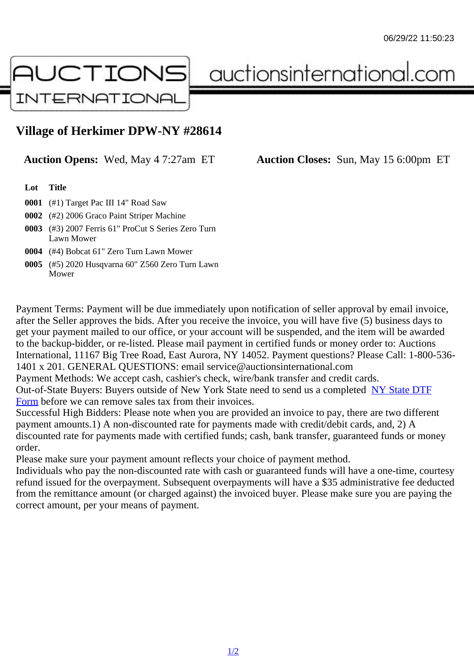## Village of Herkimer DPW-NY #28614

Auction Opens: Wed, May 4 7:27am ET Auction Closes: Sun, May 15 6:00pm ET

Lot Title

- 0001 (#1) Target Pac III 14" Road Saw
- 0002 (#2) 2006 Graco Paint Striper Machine
- 0003 (#3) 2007 Ferris 61" ProCut S Series Zero Turn Lawn Mower
- 0004 (#4) Bobcat 61" Zero Turn Lawn Mower
- 0005 (#5) 2020 Husqvarna 60" Z560 Zero Turn Lawn Mower

Payment Terms: Payment will be due immediately upon notification of seller approval by email invoice, after the Seller approves the bids. After you receive the invoice, you will have five (5) business days to get your payment mailed to our office, or your account will be suspended, and the item will be awarded to the backup-bidder, or re-listed. Please mail payment in certified funds or money order to: Auctions International, 11167 Big Tree Road, East Aurora, NY 14052. Payment questions? Please Call: 1-800-53 1401 x 201. GENERAL QUESTIONS: email service@auctionsinternational.com

Payment Methods: We accept cash, cashier's check, wire/bank transfer and credit cards.

Out-of-State Buyers: Buyers outside of New York State need to send us a com blestate DTF

Form before we can remove sales tax from their invoices.

Successful High Bidders: Please note when you are provided an invoice to pay, there are two different payment amounts.1) A non-discounted rate for payments made with credit/de[bit cards, and](https://www.auctionsinternational.com/auxiliary/downloads/DTF_Form/dtf_fill_in.pdf), 2) A [disco](https://www.auctionsinternational.com/auxiliary/downloads/DTF_Form/dtf_fill_in.pdf)unted rate for payments made with certified funds; cash, bank transfer, quaranteed funds or mone order.

Please make sure your payment amount reflects your choice of payment method.

Individuals who pay the non-discounted rate with cash or guaranteed funds will have a one-time, courte refund issued for the overpayment. Subsequent overpayments will have a \$35 administrative fee deduc from the remittance amount (or charged against) the invoiced buyer. Please make sure you are paying correct amount, per your means of payment.